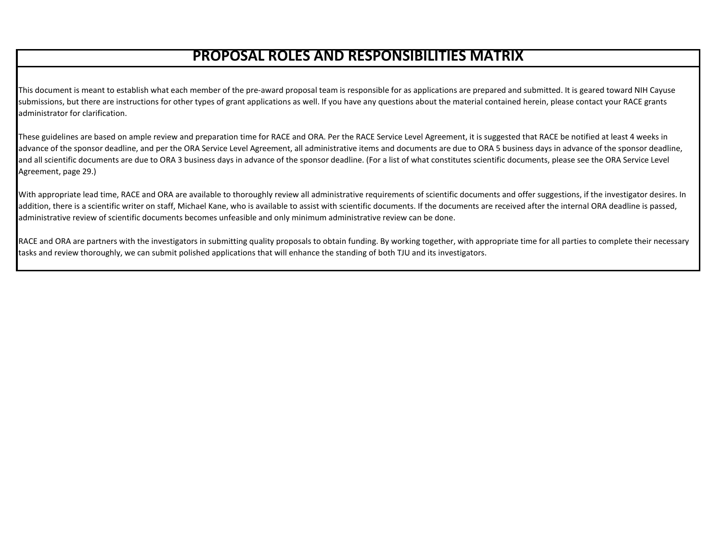# **PROPOSAL ROLES AND RESPONSIBILITIES MATRIX**

This document is meant to establish what each member of the pre-award proposal team is responsible for as applications are prepared and submitted. It is geared toward NIH Cayuse submissions, but there are instructions for other types of grant applications as well. If you have any questions about the material contained herein, please contact your RACE grants administrator for clarification.

These guidelines are based on ample review and preparation time for RACE and ORA. Per the RACE Service Level Agreement, it is suggested that RACE be notified at least 4 weeks in advance of the sponsor deadline, and per the ORA Service Level Agreement, all administrative items and documents are due to ORA 5 business days in advance of the sponsor deadline, and all scientific documents are due to ORA 3 business days in advance of the sponsor deadline. (For a list of what constitutes scientific documents, please see the ORA Service Level Agreement, page 29.)

With appropriate lead time, RACE and ORA are available to thoroughly review all administrative requirements of scientific documents and offer suggestions, if the investigator desires. In addition, there is a scientific writer on staff, Michael Kane, who is available to assist with scientific documents. If the documents are received after the internal ORA deadline is passed, administrative review of scientific documents becomes unfeasible and only minimum administrative review can be done.

RACE and ORA are partners with the investigators in submitting quality proposals to obtain funding. By working together, with appropriate time for all parties to complete their necessary tasks and review thoroughly, we can submit polished applications that will enhance the standing of both TJU and its investigators.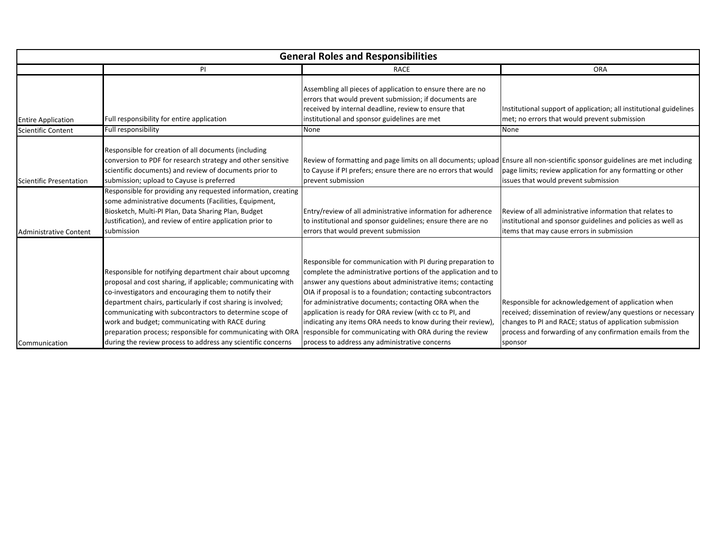| <b>General Roles and Responsibilities</b> |                                                                                                                                                                                                                                                                                                                                                                                                                                |                                                                                                                                                                                                                                                                                                                                                                                                                                                                                                              |                                                                                                                                                                                                                                               |
|-------------------------------------------|--------------------------------------------------------------------------------------------------------------------------------------------------------------------------------------------------------------------------------------------------------------------------------------------------------------------------------------------------------------------------------------------------------------------------------|--------------------------------------------------------------------------------------------------------------------------------------------------------------------------------------------------------------------------------------------------------------------------------------------------------------------------------------------------------------------------------------------------------------------------------------------------------------------------------------------------------------|-----------------------------------------------------------------------------------------------------------------------------------------------------------------------------------------------------------------------------------------------|
|                                           | PI                                                                                                                                                                                                                                                                                                                                                                                                                             | <b>RACE</b>                                                                                                                                                                                                                                                                                                                                                                                                                                                                                                  | <b>ORA</b>                                                                                                                                                                                                                                    |
| <b>Entire Application</b>                 | Full responsibility for entire application                                                                                                                                                                                                                                                                                                                                                                                     | Assembling all pieces of application to ensure there are no<br>errors that would prevent submission; if documents are<br>received by internal deadline, review to ensure that<br>institutional and sponsor guidelines are met                                                                                                                                                                                                                                                                                | Institutional support of application; all institutional guidelines<br>met; no errors that would prevent submission                                                                                                                            |
| <b>Scientific Content</b>                 | Full responsibility                                                                                                                                                                                                                                                                                                                                                                                                            | None                                                                                                                                                                                                                                                                                                                                                                                                                                                                                                         | None                                                                                                                                                                                                                                          |
| Scientific Presentation                   | Responsible for creation of all documents (including<br>conversion to PDF for research strategy and other sensitive<br>scientific documents) and review of documents prior to<br>submission; upload to Cayuse is preferred                                                                                                                                                                                                     | Review of formatting and page limits on all documents; upload Ensure all non-scientific sponsor guidelines are met including<br>to Cayuse if PI prefers; ensure there are no errors that would<br>prevent submission                                                                                                                                                                                                                                                                                         | page limits; review application for any formatting or other<br>issues that would prevent submission                                                                                                                                           |
| <b>Administrative Content</b>             | Responsible for providing any requested information, creating<br>some administrative documents (Facilities, Equipment,<br>Biosketch, Multi-PI Plan, Data Sharing Plan, Budget<br>Justification), and review of entire application prior to<br>submission                                                                                                                                                                       | Entry/review of all administrative information for adherence<br>to institutional and sponsor guidelines; ensure there are no<br>errors that would prevent submission                                                                                                                                                                                                                                                                                                                                         | Review of all administrative information that relates to<br>institutional and sponsor guidelines and policies as well as<br>items that may cause errors in submission                                                                         |
|                                           | Responsible for notifying department chair about upcomng<br>proposal and cost sharing, if applicable; communicating with<br>co-investigators and encouraging them to notify their<br>department chairs, particularly if cost sharing is involved;<br>communicating with subcontractors to determine scope of<br>work and budget; communicating with RACE during<br>preparation process; responsible for communicating with ORA | Responsible for communication with PI during preparation to<br>complete the administrative portions of the application and to<br>answer any questions about administrative items; contacting<br>OIA if proposal is to a foundation; contacting subcontractors<br>for administrative documents; contacting ORA when the<br>application is ready for ORA review (with cc to PI, and<br>indicating any items ORA needs to know during their review)<br>responsible for communicating with ORA during the review | Responsible for acknowledgement of application when<br>received; dissemination of review/any questions or necessary<br>changes to PI and RACE; status of application submission<br>process and forwarding of any confirmation emails from the |
| Communication                             | during the review process to address any scientific concerns                                                                                                                                                                                                                                                                                                                                                                   | process to address any administrative concerns                                                                                                                                                                                                                                                                                                                                                                                                                                                               | sponsor                                                                                                                                                                                                                                       |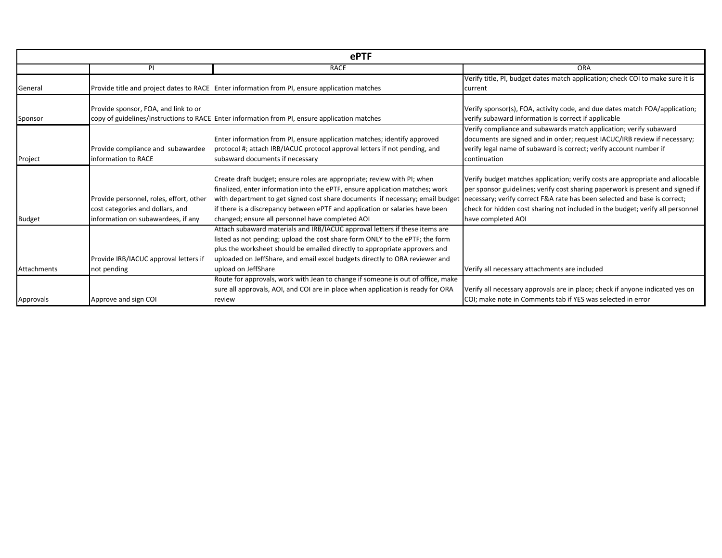|               |                                         | <b>ePTF</b>                                                                                     |                                                                                |
|---------------|-----------------------------------------|-------------------------------------------------------------------------------------------------|--------------------------------------------------------------------------------|
|               | PI.                                     | <b>RACE</b>                                                                                     | ORA                                                                            |
|               |                                         |                                                                                                 | Verify title, PI, budget dates match application; check COI to make sure it is |
| General       |                                         | Provide title and project dates to RACE   Enter information from PI, ensure application matches | current                                                                        |
|               | Provide sponsor, FOA, and link to or    |                                                                                                 | Verify sponsor(s), FOA, activity code, and due dates match FOA/application;    |
| Sponsor       |                                         | copy of guidelines/instructions to RACE Enter information from PI, ensure application matches   | verify subaward information is correct if applicable                           |
|               |                                         |                                                                                                 | Verify compliance and subawards match application; verify subaward             |
|               |                                         | Enter information from PI, ensure application matches; identify approved                        | documents are signed and in order; request IACUC/IRB review if necessary;      |
|               | Provide compliance and subawardee       | protocol #; attach IRB/IACUC protocol approval letters if not pending, and                      | verify legal name of subaward is correct; verify account number if             |
| Project       | information to RACE                     | subaward documents if necessary                                                                 | continuation                                                                   |
|               |                                         |                                                                                                 |                                                                                |
|               |                                         | Create draft budget; ensure roles are appropriate; review with PI; when                         | Verify budget matches application; verify costs are appropriate and allocable  |
|               |                                         | finalized, enter information into the ePTF, ensure application matches; work                    | per sponsor guidelines; verify cost sharing paperwork is present and signed if |
|               | Provide personnel, roles, effort, other | with department to get signed cost share documents if necessary; email budget                   | necessary; verify correct F&A rate has been selected and base is correct;      |
|               | cost categories and dollars, and        | If there is a discrepancy between ePTF and application or salaries have been                    | check for hidden cost sharing not included in the budget; verify all personnel |
| <b>Budget</b> | information on subawardees, if any      | changed; ensure all personnel have completed AOI                                                | have completed AOI                                                             |
|               |                                         | Attach subaward materials and IRB/IACUC approval letters if these items are                     |                                                                                |
|               |                                         | listed as not pending; upload the cost share form ONLY to the ePTF; the form                    |                                                                                |
|               |                                         | plus the worksheet should be emailed directly to appropriate approvers and                      |                                                                                |
|               | Provide IRB/IACUC approval letters if   | uploaded on JeffShare, and email excel budgets directly to ORA reviewer and                     |                                                                                |
| Attachments   | not pending                             | upload on JeffShare                                                                             | Verify all necessary attachments are included                                  |
|               |                                         | Route for approvals, work with Jean to change if someone is out of office, make                 |                                                                                |
|               |                                         | sure all approvals, AOI, and COI are in place when application is ready for ORA                 | Verify all necessary approvals are in place; check if anyone indicated yes on  |
| Approvals     | Approve and sign COI                    | review                                                                                          | COI; make note in Comments tab if YES was selected in error                    |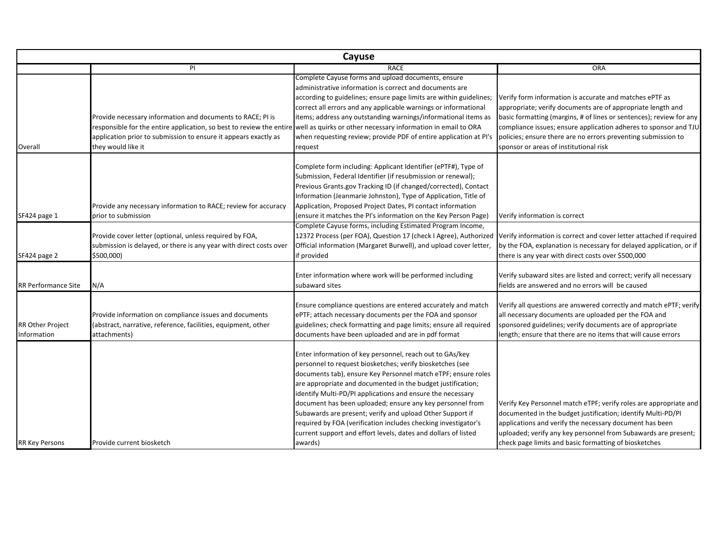|                                        | Cayuse                                                                                                                                                                                                                                                                                    |                                                                                                                                                                                                                                                                                                                                                                                                                                                                                                                                                                                              |                                                                                                                                                                                                                                                                                                                                                                              |  |
|----------------------------------------|-------------------------------------------------------------------------------------------------------------------------------------------------------------------------------------------------------------------------------------------------------------------------------------------|----------------------------------------------------------------------------------------------------------------------------------------------------------------------------------------------------------------------------------------------------------------------------------------------------------------------------------------------------------------------------------------------------------------------------------------------------------------------------------------------------------------------------------------------------------------------------------------------|------------------------------------------------------------------------------------------------------------------------------------------------------------------------------------------------------------------------------------------------------------------------------------------------------------------------------------------------------------------------------|--|
|                                        | PI                                                                                                                                                                                                                                                                                        | <b>RACE</b>                                                                                                                                                                                                                                                                                                                                                                                                                                                                                                                                                                                  | <b>ORA</b>                                                                                                                                                                                                                                                                                                                                                                   |  |
| Overall                                | Provide necessary information and documents to RACE; PI is<br>responsible for the entire application, so best to review the entire well as quirks or other necessary information in email to ORA<br>application prior to submission to ensure it appears exactly as<br>they would like it | Complete Cayuse forms and upload documents, ensure<br>administrative information is correct and documents are<br>according to guidelines; ensure page limits are within guidelines;<br>correct all errors and any applicable warnings or informational<br>items; address any outstanding warnings/informational items as<br>when requesting review; provide PDF of entire application at PI's<br>request                                                                                                                                                                                     | Verify form information is accurate and matches ePTF as<br>appropriate; verify documents are of appropriate length and<br>basic formatting (margins, # of lines or sentences); review for any<br>compliance issues; ensure application adheres to sponsor and TJU<br>policies; ensure there are no errors preventing submission to<br>sponsor or areas of institutional risk |  |
| SF424 page 1<br>SF424 page 2           | Provide any necessary information to RACE; review for accuracy<br>prior to submission<br>Provide cover letter (optional, unless required by FOA,<br>submission is delayed, or there is any year with direct costs over<br>\$500,000)                                                      | Complete form including: Applicant Identifier (ePTF#), Type of<br>Submission, Federal Identifier (if resubmission or renewal);<br>Previous Grants.gov Tracking ID (if changed/corrected), Contact<br>Information (Jeanmarie Johnston), Type of Application, Title of<br>Application, Proposed Project Dates, PI contact information<br>(ensure it matches the PI's information on the Key Person Page)<br>Complete Cayuse forms, including Estimated Program Income,<br>Official information (Margaret Burwell), and upload cover letter,<br>if provided                                     | Verify information is correct<br>12372 Process (per FOA), Question 17 (check I Agree), Authorized Verify information is correct and cover letter attached if required<br>by the FOA, explanation is necessary for delayed application, or if<br>there is any year with direct costs over \$500,000                                                                           |  |
| RR Performance Site                    | N/A                                                                                                                                                                                                                                                                                       | Enter information where work will be performed including<br>subaward sites                                                                                                                                                                                                                                                                                                                                                                                                                                                                                                                   | Verify subaward sites are listed and correct; verify all necessary<br>fields are answered and no errors will be caused                                                                                                                                                                                                                                                       |  |
| <b>RR Other Project</b><br>Information | Provide information on compliance issues and documents<br>(abstract, narrative, reference, facilities, equipment, other<br>attachments)                                                                                                                                                   | Ensure compliance questions are entered accurately and match<br>ePTF; attach necessary documents per the FOA and sponsor<br>guidelines; check formatting and page limits; ensure all required<br>documents have been uploaded and are in pdf format                                                                                                                                                                                                                                                                                                                                          | Verify all questions are answered correctly and match ePTF; verify<br>all necessary documents are uploaded per the FOA and<br>sponsored guidelines; verify documents are of appropriate<br>length; ensure that there are no items that will cause errors                                                                                                                     |  |
| <b>RR Key Persons</b>                  | Provide current biosketch                                                                                                                                                                                                                                                                 | Enter information of key personnel, reach out to GAs/key<br>personnel to request biosketches; verify biosketches (see<br>documents tab), ensure Key Personnel match eTPF; ensure roles<br>are appropriate and documented in the budget justification;<br>identify Multi-PD/PI applications and ensure the necessary<br>document has been uploaded; ensure any key personnel from<br>Subawards are present; verify and upload Other Support if<br>required by FOA (verification includes checking investigator's<br>current support and effort levels, dates and dollars of listed<br>awards) | Verify Key Personnel match eTPF; verify roles are appropriate and<br>documented in the budget justification; identify Multi-PD/PI<br>applications and verify the necessary document has been<br>uploaded; verify any key personnel from Subawards are present;<br>check page limits and basic formatting of biosketches                                                      |  |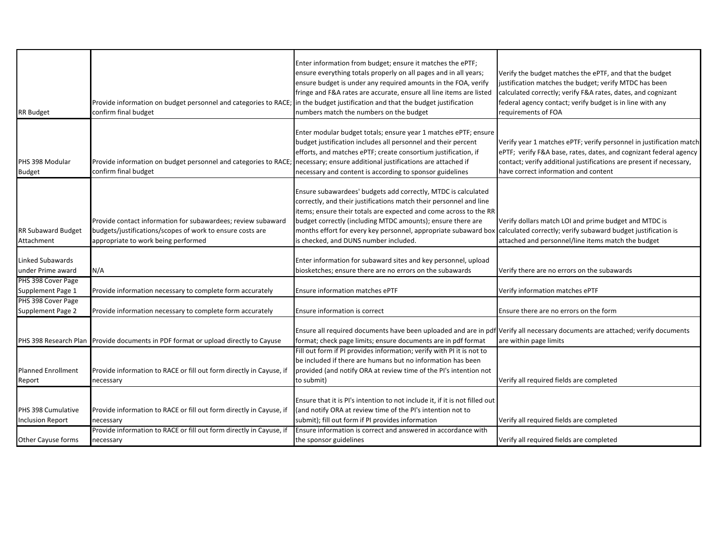| <b>RR Budget</b>                              | Provide information on budget personnel and categories to RACE; in the budget justification and that the budget justification<br>confirm final budget            | Enter information from budget; ensure it matches the ePTF;<br>ensure everything totals properly on all pages and in all years;<br>ensure budget is under any required amounts in the FOA, verify<br>fringe and F&A rates are accurate, ensure all line items are listed<br>numbers match the numbers on the budget                                                                  | Verify the budget matches the ePTF, and that the budget<br>justification matches the budget; verify MTDC has been<br>calculated correctly; verify F&A rates, dates, and cognizant<br>federal agency contact; verify budget is in line with any<br>requirements of FOA |
|-----------------------------------------------|------------------------------------------------------------------------------------------------------------------------------------------------------------------|-------------------------------------------------------------------------------------------------------------------------------------------------------------------------------------------------------------------------------------------------------------------------------------------------------------------------------------------------------------------------------------|-----------------------------------------------------------------------------------------------------------------------------------------------------------------------------------------------------------------------------------------------------------------------|
| PHS 398 Modular<br><b>Budget</b>              | Provide information on budget personnel and categories to RACE;<br>confirm final budget                                                                          | Enter modular budget totals; ensure year 1 matches ePTF; ensure<br>budget justification includes all personnel and their percent<br>efforts, and matches ePTF; create consortium justification, if<br>necessary; ensure additional justifications are attached if<br>necessary and content is according to sponsor guidelines                                                       | Verify year 1 matches ePTF; verify personnel in justification match<br>ePTF; verify F&A base, rates, dates, and cognizant federal agency<br>contact; verify additional justifications are present if necessary,<br>have correct information and content               |
| RR Subaward Budget<br>Attachment              | Provide contact information for subawardees; review subaward<br>budgets/justifications/scopes of work to ensure costs are<br>appropriate to work being performed | Ensure subawardees' budgets add correctly, MTDC is calculated<br>correctly, and their justifications match their personnel and line<br>items; ensure their totals are expected and come across to the RR<br>budget correctly (including MTDC amounts); ensure there are<br>months effort for every key personnel, appropriate subaward box<br>is checked, and DUNS number included. | Verify dollars match LOI and prime budget and MTDC is<br>calculated correctly; verify subaward budget justification is<br>attached and personnel/line items match the budget                                                                                          |
| Linked Subawards<br>under Prime award         | N/A                                                                                                                                                              | Enter information for subaward sites and key personnel, upload<br>biosketches; ensure there are no errors on the subawards                                                                                                                                                                                                                                                          | Verify there are no errors on the subawards                                                                                                                                                                                                                           |
| PHS 398 Cover Page<br>Supplement Page 1       | Provide information necessary to complete form accurately                                                                                                        | Ensure information matches ePTF                                                                                                                                                                                                                                                                                                                                                     | Verify information matches ePTF                                                                                                                                                                                                                                       |
| PHS 398 Cover Page<br>Supplement Page 2       | Provide information necessary to complete form accurately                                                                                                        | Ensure information is correct                                                                                                                                                                                                                                                                                                                                                       | Ensure there are no errors on the form                                                                                                                                                                                                                                |
|                                               | PHS 398 Research Plan Provide documents in PDF format or upload directly to Cayuse                                                                               | Ensure all required documents have been uploaded and are in pdf Verify all necessary documents are attached; verify documents<br>format; check page limits; ensure documents are in pdf format                                                                                                                                                                                      | are within page limits                                                                                                                                                                                                                                                |
| <b>Planned Enrollment</b><br>Report           | Provide information to RACE or fill out form directly in Cayuse, if<br>necessary                                                                                 | Fill out form if PI provides information; verify with PI it is not to<br>be included if there are humans but no information has been<br>provided (and notify ORA at review time of the PI's intention not<br>to submit)                                                                                                                                                             | Verify all required fields are completed                                                                                                                                                                                                                              |
| PHS 398 Cumulative<br><b>Inclusion Report</b> | Provide information to RACE or fill out form directly in Cayuse, if<br>necessary                                                                                 | Ensure that it is PI's intention to not include it, if it is not filled out<br>(and notify ORA at review time of the PI's intention not to<br>submit); fill out form if PI provides information                                                                                                                                                                                     | Verify all required fields are completed                                                                                                                                                                                                                              |
| Other Cayuse forms                            | Provide information to RACE or fill out form directly in Cayuse, if<br>necessary                                                                                 | Ensure information is correct and answered in accordance with<br>the sponsor guidelines                                                                                                                                                                                                                                                                                             | Verify all required fields are completed                                                                                                                                                                                                                              |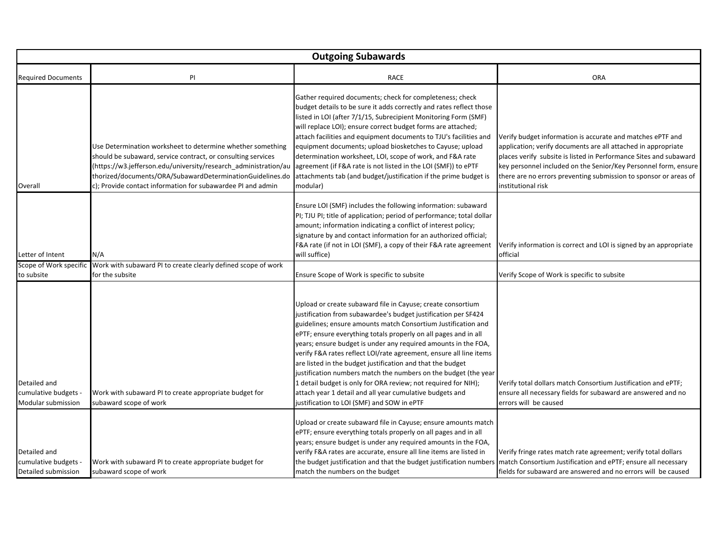|                                                             | <b>Outgoing Subawards</b>                                                                                                                                                                                                                                                                                                 |                                                                                                                                                                                                                                                                                                                                                                                                                                                                                                                                                                                                                                                                                                                        |                                                                                                                                                                                                                                                                                                                                                               |  |
|-------------------------------------------------------------|---------------------------------------------------------------------------------------------------------------------------------------------------------------------------------------------------------------------------------------------------------------------------------------------------------------------------|------------------------------------------------------------------------------------------------------------------------------------------------------------------------------------------------------------------------------------------------------------------------------------------------------------------------------------------------------------------------------------------------------------------------------------------------------------------------------------------------------------------------------------------------------------------------------------------------------------------------------------------------------------------------------------------------------------------------|---------------------------------------------------------------------------------------------------------------------------------------------------------------------------------------------------------------------------------------------------------------------------------------------------------------------------------------------------------------|--|
| <b>Required Documents</b>                                   | PI                                                                                                                                                                                                                                                                                                                        | <b>RACE</b>                                                                                                                                                                                                                                                                                                                                                                                                                                                                                                                                                                                                                                                                                                            | <b>ORA</b>                                                                                                                                                                                                                                                                                                                                                    |  |
| Overall                                                     | Use Determination worksheet to determine whether something<br>should be subaward, service contract, or consulting services<br>(https://w3.jefferson.edu/university/research_administration/au<br>thorized/documents/ORA/SubawardDeterminationGuidelines.do<br>c); Provide contact information for subawardee PI and admin | Gather required documents; check for completeness; check<br>budget details to be sure it adds correctly and rates reflect those<br>listed in LOI (after 7/1/15, Subrecipient Monitoring Form (SMF)<br>will replace LOI); ensure correct budget forms are attached;<br>attach facilities and equipment documents to TJU's facilities and<br>equipment documents; upload biosketches to Cayuse; upload<br>determination worksheet, LOI, scope of work, and F&A rate<br>agreement (if F&A rate is not listed in the LOI (SMF)) to ePTF<br>attachments tab (and budget/justification if the prime budget is<br>modular)                                                                                                    | Verify budget information is accurate and matches ePTF and<br>application; verify documents are all attached in appropriate<br>places verify subsite is listed in Performance Sites and subaward<br>key personnel included on the Senior/Key Personnel form, ensure<br>there are no errors preventing submission to sponsor or areas of<br>institutional risk |  |
| Letter of Intent                                            | N/A                                                                                                                                                                                                                                                                                                                       | Ensure LOI (SMF) includes the following information: subaward<br>PI; TJU PI; title of application; period of performance; total dollar<br>amount; information indicating a conflict of interest policy;<br>signature by and contact information for an authorized official;<br>F&A rate (if not in LOI (SMF), a copy of their F&A rate agreement<br>will suffice)                                                                                                                                                                                                                                                                                                                                                      | Verify information is correct and LOI is signed by an appropriate<br>official                                                                                                                                                                                                                                                                                 |  |
| Scope of Work specific<br>to subsite                        | Work with subaward PI to create clearly defined scope of work<br>for the subsite                                                                                                                                                                                                                                          | Ensure Scope of Work is specific to subsite                                                                                                                                                                                                                                                                                                                                                                                                                                                                                                                                                                                                                                                                            | Verify Scope of Work is specific to subsite                                                                                                                                                                                                                                                                                                                   |  |
| Detailed and<br>cumulative budgets<br>Modular submission    | Work with subaward PI to create appropriate budget for<br>subaward scope of work                                                                                                                                                                                                                                          | Upload or create subaward file in Cayuse; create consortium<br>justification from subawardee's budget justification per SF424<br>guidelines; ensure amounts match Consortium Justification and<br>ePTF; ensure everything totals properly on all pages and in all<br>years; ensure budget is under any required amounts in the FOA,<br>verify F&A rates reflect LOI/rate agreement, ensure all line items<br>are listed in the budget justification and that the budget<br>justification numbers match the numbers on the budget (the year<br>1 detail budget is only for ORA review; not required for NIH);<br>attach year 1 detail and all year cumulative budgets and<br>justification to LOI (SMF) and SOW in ePTF | Verify total dollars match Consortium Justification and ePTF;<br>ensure all necessary fields for subaward are answered and no<br>errors will be caused                                                                                                                                                                                                        |  |
| Detailed and<br>cumulative budgets -<br>Detailed submission | Work with subaward PI to create appropriate budget for<br>subaward scope of work                                                                                                                                                                                                                                          | Upload or create subaward file in Cayuse; ensure amounts match<br>ePTF; ensure everything totals properly on all pages and in all<br>years; ensure budget is under any required amounts in the FOA,<br>verify F&A rates are accurate, ensure all line items are listed in<br>the budget justification and that the budget justification numbers<br>match the numbers on the budget                                                                                                                                                                                                                                                                                                                                     | Verify fringe rates match rate agreement; verify total dollars<br>match Consortium Justification and ePTF; ensure all necessary<br>fields for subaward are answered and no errors will be caused                                                                                                                                                              |  |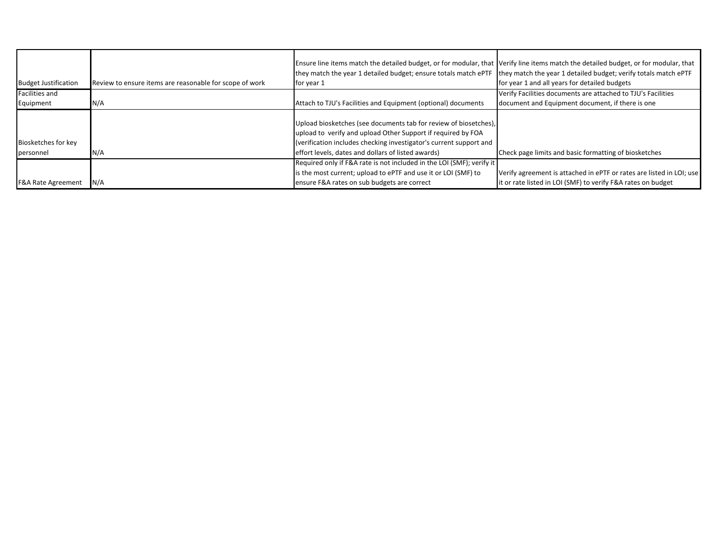|                               |                                                         | Ensure line items match the detailed budget, or for modular, that Verify line items match the detailed budget, or for modular, that |                                                                      |
|-------------------------------|---------------------------------------------------------|-------------------------------------------------------------------------------------------------------------------------------------|----------------------------------------------------------------------|
|                               |                                                         | they match the year 1 detailed budget; ensure totals match ePTF                                                                     | they match the year 1 detailed budget; verify totals match ePTF      |
| <b>Budget Justification</b>   | Review to ensure items are reasonable for scope of work | for year 1                                                                                                                          | for year 1 and all years for detailed budgets                        |
| <b>Facilities and</b>         |                                                         |                                                                                                                                     | Verify Facilities documents are attached to TJU's Facilities         |
| Equipment                     | N/A                                                     | Attach to TJU's Facilities and Equipment (optional) documents                                                                       | document and Equipment document, if there is one                     |
|                               |                                                         |                                                                                                                                     |                                                                      |
|                               |                                                         | Upload biosketches (see documents tab for review of biosetches),                                                                    |                                                                      |
|                               |                                                         | upload to verify and upload Other Support if required by FOA                                                                        |                                                                      |
| Biosketches for key           |                                                         | (verification includes checking investigator's current support and                                                                  |                                                                      |
| personnel                     | N/A                                                     | effort levels, dates and dollars of listed awards)                                                                                  | Check page limits and basic formatting of biosketches                |
|                               |                                                         | Required only if F&A rate is not included in the LOI (SMF); verify it                                                               |                                                                      |
|                               |                                                         | is the most current; upload to ePTF and use it or LOI (SMF) to                                                                      | Verify agreement is attached in ePTF or rates are listed in LOI; use |
| <b>F&amp;A Rate Agreement</b> | N/A                                                     | ensure F&A rates on sub budgets are correct                                                                                         | it or rate listed in LOI (SMF) to verify F&A rates on budget         |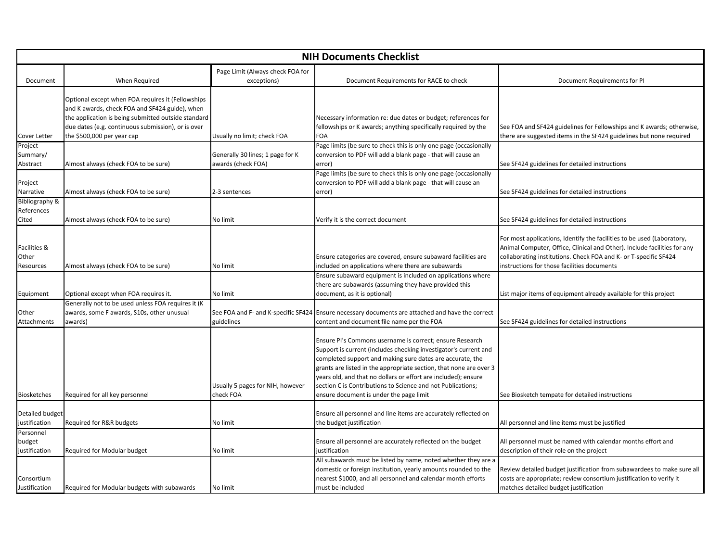|                                                  | <b>NIH Documents Checklist</b>                                                                                                                                                                                                                 |                                                        |                                                                                                                                                                                                                                                                                                                                                                                                                                             |                                                                                                                                                                                                                                                                       |
|--------------------------------------------------|------------------------------------------------------------------------------------------------------------------------------------------------------------------------------------------------------------------------------------------------|--------------------------------------------------------|---------------------------------------------------------------------------------------------------------------------------------------------------------------------------------------------------------------------------------------------------------------------------------------------------------------------------------------------------------------------------------------------------------------------------------------------|-----------------------------------------------------------------------------------------------------------------------------------------------------------------------------------------------------------------------------------------------------------------------|
| Document                                         | When Required                                                                                                                                                                                                                                  | Page Limit (Always check FOA for<br>exceptions)        | Document Requirements for RACE to check                                                                                                                                                                                                                                                                                                                                                                                                     | Document Requirements for PI                                                                                                                                                                                                                                          |
| Cover Letter                                     | Optional except when FOA requires it (Fellowships<br>and K awards, check FOA and SF424 guide), when<br>the application is being submitted outside standard<br>due dates (e.g. continuous submission), or is over<br>the \$500,000 per year cap | Usually no limit; check FOA                            | Necessary information re: due dates or budget; references for<br>fellowships or K awards; anything specifically required by the<br>FOA                                                                                                                                                                                                                                                                                                      | See FOA and SF424 guidelines for Fellowships and K awards; otherwise,<br>there are suggested items in the SF424 guidelines but none required                                                                                                                          |
| Project<br>Summary/<br>Abstract                  | Almost always (check FOA to be sure)                                                                                                                                                                                                           | Generally 30 lines; 1 page for K<br>awards (check FOA) | Page limits (be sure to check this is only one page (occasionally<br>conversion to PDF will add a blank page - that will cause an<br>error)                                                                                                                                                                                                                                                                                                 | See SF424 guidelines for detailed instructions                                                                                                                                                                                                                        |
| Project<br>Narrative                             | Almost always (check FOA to be sure)                                                                                                                                                                                                           | 2-3 sentences                                          | Page limits (be sure to check this is only one page (occasionally<br>conversion to PDF will add a blank page - that will cause an<br>error)                                                                                                                                                                                                                                                                                                 | See SF424 guidelines for detailed instructions                                                                                                                                                                                                                        |
| <b>Bibliography &amp;</b><br>References<br>Cited | Almost always (check FOA to be sure)                                                                                                                                                                                                           | No limit                                               | Verify it is the correct document                                                                                                                                                                                                                                                                                                                                                                                                           | See SF424 guidelines for detailed instructions                                                                                                                                                                                                                        |
| Facilities &<br>Other<br>Resources               | Almost always (check FOA to be sure)                                                                                                                                                                                                           | No limit                                               | Ensure categories are covered, ensure subaward facilities are<br>included on applications where there are subawards                                                                                                                                                                                                                                                                                                                         | For most applications, Identify the facilities to be used (Laboratory,<br>Animal Computer, Office, Clinical and Other). Include facilities for any<br>collaborating institutions. Check FOA and K- or T-specific SF424<br>instructions for those facilities documents |
| Equipment                                        | Optional except when FOA requires it.                                                                                                                                                                                                          | No limit                                               | Ensure subaward equipment is included on applications where<br>there are subawards (assuming they have provided this<br>document, as it is optional)                                                                                                                                                                                                                                                                                        | List major items of equipment already available for this project                                                                                                                                                                                                      |
| Other<br>Attachments                             | Generally not to be used unless FOA requires it (K<br>awards, some F awards, S10s, other unusual<br>awards)                                                                                                                                    | See FOA and F- and K-specific SF424<br>guidelines      | Ensure necessary documents are attached and have the correct<br>content and document file name per the FOA                                                                                                                                                                                                                                                                                                                                  | See SF424 guidelines for detailed instructions                                                                                                                                                                                                                        |
| Biosketches                                      | Required for all key personnel                                                                                                                                                                                                                 | Usually 5 pages for NIH, however<br>check FOA          | Ensure PI's Commons username is correct; ensure Research<br>Support is current (includes checking investigator's current and<br>completed support and making sure dates are accurate, the<br>grants are listed in the appropriate section, that none are over 3<br>years old, and that no dollars or effort are included); ensure<br>section C is Contributions to Science and not Publications;<br>ensure document is under the page limit | See Biosketch tempate for detailed instructions                                                                                                                                                                                                                       |
| Detailed budget<br>justification                 | Required for R&R budgets                                                                                                                                                                                                                       | No limit                                               | Ensure all personnel and line items are accurately reflected on<br>the budget justification                                                                                                                                                                                                                                                                                                                                                 | All personnel and line items must be justified                                                                                                                                                                                                                        |
| Personnel<br>budget<br>justification             | Required for Modular budget                                                                                                                                                                                                                    | No limit                                               | Ensure all personnel are accurately reflected on the budget<br>justification                                                                                                                                                                                                                                                                                                                                                                | All personnel must be named with calendar months effort and<br>description of their role on the project                                                                                                                                                               |
| Consortium<br>Justification                      | Required for Modular budgets with subawards                                                                                                                                                                                                    | No limit                                               | All subawards must be listed by name, noted whether they are a<br>domestic or foreign institution, yearly amounts rounded to the<br>nearest \$1000, and all personnel and calendar month efforts<br>must be included                                                                                                                                                                                                                        | Review detailed budget justification from subawardees to make sure all<br>costs are appropriate; review consortium justification to verify it<br>matches detailed budget justification                                                                                |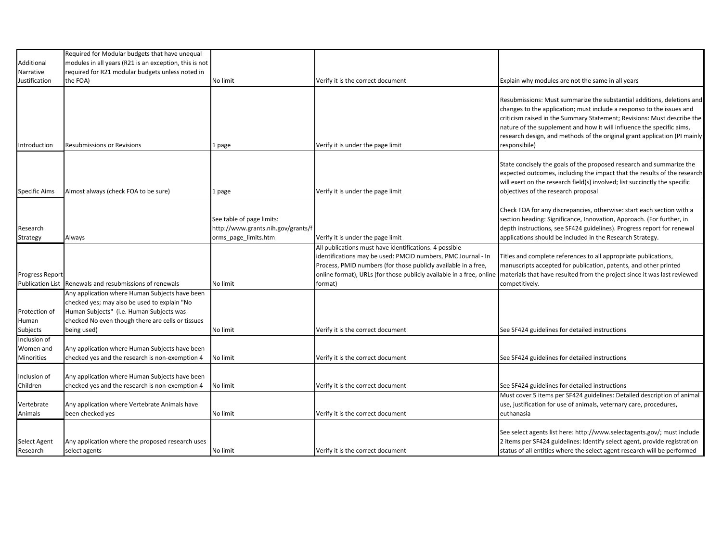| Additional                                        | Required for Modular budgets that have unequal<br>modules in all years (R21 is an exception, this is not                                                                                                       |                                                                                         |                                                                                                                                                                                                                                                                             |                                                                                                                                                                                                                                                                                                                                                                                                   |
|---------------------------------------------------|----------------------------------------------------------------------------------------------------------------------------------------------------------------------------------------------------------------|-----------------------------------------------------------------------------------------|-----------------------------------------------------------------------------------------------------------------------------------------------------------------------------------------------------------------------------------------------------------------------------|---------------------------------------------------------------------------------------------------------------------------------------------------------------------------------------------------------------------------------------------------------------------------------------------------------------------------------------------------------------------------------------------------|
| Narrative                                         | required for R21 modular budgets unless noted in                                                                                                                                                               |                                                                                         |                                                                                                                                                                                                                                                                             |                                                                                                                                                                                                                                                                                                                                                                                                   |
| Justification                                     | the FOA)                                                                                                                                                                                                       | No limit                                                                                | Verify it is the correct document                                                                                                                                                                                                                                           | Explain why modules are not the same in all years                                                                                                                                                                                                                                                                                                                                                 |
|                                                   |                                                                                                                                                                                                                |                                                                                         |                                                                                                                                                                                                                                                                             |                                                                                                                                                                                                                                                                                                                                                                                                   |
| Introduction                                      | Resubmissions or Revisions                                                                                                                                                                                     | 1 page                                                                                  | Verify it is under the page limit                                                                                                                                                                                                                                           | Resubmissions: Must summarize the substantial additions, deletions and<br>changes to the application; must include a responso to the issues and<br>criticism raised in the Summary Statement; Revisions: Must describe the<br>nature of the supplement and how it will influence the specific aims,<br>research design, and methods of the original grant application (PI mainly<br>responsibile) |
| <b>Specific Aims</b>                              | Almost always (check FOA to be sure)                                                                                                                                                                           | 1 page                                                                                  | Verify it is under the page limit                                                                                                                                                                                                                                           | State concisely the goals of the proposed research and summarize the<br>expected outcomes, including the impact that the results of the research<br>will exert on the research field(s) involved; list succinctly the specific<br>objectives of the research proposal                                                                                                                             |
| Research<br>Strategy                              | Always                                                                                                                                                                                                         | See table of page limits:<br>http://www.grants.nih.gov/grants/f<br>orms_page_limits.htm | Verify it is under the page limit                                                                                                                                                                                                                                           | Check FOA for any discrepancies, otherwise: start each section with a<br>section heading: Significance, Innovation, Approach. (For further, in<br>depth instructions, see SF424 guidelines). Progress report for renewal<br>applications should be included in the Research Strategy.                                                                                                             |
| <b>Progress Report</b><br><b>Publication List</b> | Renewals and resubmissions of renewals                                                                                                                                                                         | No limit                                                                                | All publications must have identifications. 4 possible<br>identifications may be used: PMCID numbers, PMC Journal - In<br>Process, PMID numbers (for those publicly available in a free,<br>online format), URLs (for those publicly available in a free, online<br>format) | Titles and complete references to all appropriate publications,<br>manuscripts accepted for publication, patents, and other printed<br>materials that have resulted from the project since it was last reviewed<br>competitively.                                                                                                                                                                 |
| Protection of<br>Human<br>Subjects                | Any application where Human Subjects have been<br>checked yes; may also be used to explain "No<br>Human Subjects" (i.e. Human Subjects was<br>checked No even though there are cells or tissues<br>being used) | No limit                                                                                | Verify it is the correct document                                                                                                                                                                                                                                           | See SF424 guidelines for detailed instructions                                                                                                                                                                                                                                                                                                                                                    |
| Inclusion of<br>Women and<br>Minorities           | Any application where Human Subjects have been<br>checked yes and the research is non-exemption 4                                                                                                              | No limit                                                                                | Verify it is the correct document                                                                                                                                                                                                                                           | See SF424 guidelines for detailed instructions                                                                                                                                                                                                                                                                                                                                                    |
| Inclusion of<br>Children                          | Any application where Human Subjects have been<br>checked yes and the research is non-exemption 4                                                                                                              | No limit                                                                                | Verify it is the correct document                                                                                                                                                                                                                                           | See SF424 guidelines for detailed instructions                                                                                                                                                                                                                                                                                                                                                    |
| Vertebrate<br>Animals                             | Any application where Vertebrate Animals have<br>been checked yes                                                                                                                                              | No limit                                                                                | Verify it is the correct document                                                                                                                                                                                                                                           | Must cover 5 items per SF424 guidelines: Detailed description of animal<br>use, justification for use of animals, veternary care, procedures,<br>euthanasia                                                                                                                                                                                                                                       |
| Select Agent<br>Research                          | Any application where the proposed research uses<br>select agents                                                                                                                                              | No limit                                                                                | Verify it is the correct document                                                                                                                                                                                                                                           | See select agents list here: http://www.selectagents.gov/; must include<br>2 items per SF424 guidelines: Identify select agent, provide registration<br>status of all entities where the select agent research will be performed                                                                                                                                                                  |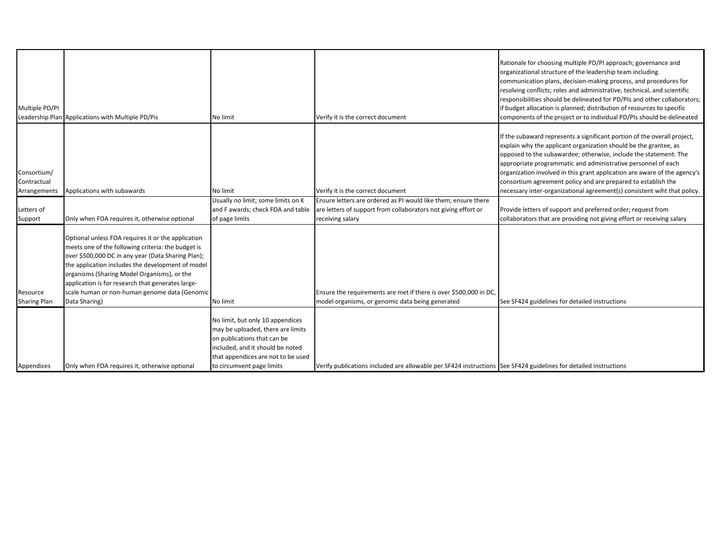| Multiple PD/PI                             | Leadership Plan Applications with Multiple PD/Pis                                                                                                                                                                                                                                                                                                                                         | No limit                                                                                                                                                                                                    | Verify it is the correct document                                                                                                | Rationale for choosing multiple PD/PI approach; governance and<br>organizational structure of the leadership team including<br>communication plans, decision-making process, and procedures for<br>resolving conflicts; roles and administrative, technical, and scientific<br>responsibilities should be delineated for PD/PIs and other collaborators;<br>if budget allocation is planned; distribution of resources to specific<br>components of the project or to individual PD/PIs should be delineated |
|--------------------------------------------|-------------------------------------------------------------------------------------------------------------------------------------------------------------------------------------------------------------------------------------------------------------------------------------------------------------------------------------------------------------------------------------------|-------------------------------------------------------------------------------------------------------------------------------------------------------------------------------------------------------------|----------------------------------------------------------------------------------------------------------------------------------|--------------------------------------------------------------------------------------------------------------------------------------------------------------------------------------------------------------------------------------------------------------------------------------------------------------------------------------------------------------------------------------------------------------------------------------------------------------------------------------------------------------|
| Consortium/<br>Contractual<br>Arrangements | Applications with subawards                                                                                                                                                                                                                                                                                                                                                               | No limit                                                                                                                                                                                                    | Verify it is the correct document                                                                                                | If the subaward represents a significant portion of the overall project,<br>explain why the applicant organization should be the grantee, as<br>opposed to the subawardee; otherwise, include the statement: The<br>appropriate programmatic and administrative personnel of each<br>organization involved in this grant application are aware of the agency's<br>consortium agreement policy and are prepared to establish the<br>necessary inter-organizational agreement(s) consistent wiht that policy.  |
| Letters of                                 |                                                                                                                                                                                                                                                                                                                                                                                           | Usually no limit; some limits on K<br>and F awards; check FOA and table                                                                                                                                     | Ensure letters are ordered as PI would like them; ensure there<br>are letters of support from collaborators not giving effort or | Provide letters of support and preferred order; request from                                                                                                                                                                                                                                                                                                                                                                                                                                                 |
| Support                                    | Only when FOA requires it, otherwise optional                                                                                                                                                                                                                                                                                                                                             | of page limits                                                                                                                                                                                              | receiving salary                                                                                                                 | collaborators that are providing not giving effort or receiving salary                                                                                                                                                                                                                                                                                                                                                                                                                                       |
| Resource<br><b>Sharing Plan</b>            | Optional unless FOA requires it or the application<br>meets one of the following criteria: the budget is<br>over \$500,000 DC in any year (Data Sharing Plan);<br>the application includes the development of model<br>organisms (Sharing Model Organisms), or the<br>application is for research that generates large-<br>scale human or non-human genome data (Genomic<br>Data Sharing) | No limit                                                                                                                                                                                                    | Ensure the requirements are met if there is over \$500,000 in DC.<br>model organisms, or genomic data being generated            | See SF424 guidelines for detailed instructions                                                                                                                                                                                                                                                                                                                                                                                                                                                               |
| Appendices                                 | Only when FOA requires it, otherwise optional                                                                                                                                                                                                                                                                                                                                             | No limit, but only 10 appendices<br>may be uploaded, there are limits<br>on publications that can be<br>included, and it should be noted<br>that appendices are not to be used<br>to circumvent page limits | Verify publications included are allowable per SF424 instructions See SF424 guidelines for detailed instructions                 |                                                                                                                                                                                                                                                                                                                                                                                                                                                                                                              |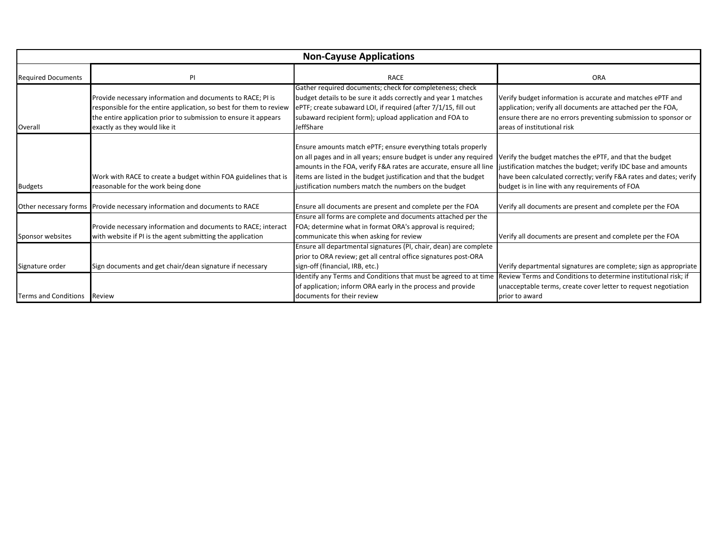| <b>Non-Cayuse Applications</b> |                                                                                                                                                                                                                                      |                                                                                                                                                                                                                                                                                                                                       |                                                                                                                                                                                                                                                  |
|--------------------------------|--------------------------------------------------------------------------------------------------------------------------------------------------------------------------------------------------------------------------------------|---------------------------------------------------------------------------------------------------------------------------------------------------------------------------------------------------------------------------------------------------------------------------------------------------------------------------------------|--------------------------------------------------------------------------------------------------------------------------------------------------------------------------------------------------------------------------------------------------|
| <b>Required Documents</b>      | PI                                                                                                                                                                                                                                   | <b>RACE</b>                                                                                                                                                                                                                                                                                                                           | <b>ORA</b>                                                                                                                                                                                                                                       |
| Overall                        | Provide necessary information and documents to RACE; PI is<br>responsible for the entire application, so best for them to review<br>the entire application prior to submission to ensure it appears<br>exactly as they would like it | Gather required documents; check for completeness; check<br>budget details to be sure it adds correctly and year 1 matches<br>ePTF; create subaward LOI, if required (after 7/1/15, fill out<br>subaward recipient form); upload application and FOA to<br>JeffShare                                                                  | Verify budget information is accurate and matches ePTF and<br>application; verify all documents are attached per the FOA,<br>ensure there are no errors preventing submission to sponsor or<br>areas of institutional risk                       |
| <b>Budgets</b>                 | Work with RACE to create a budget within FOA guidelines that is<br>reasonable for the work being done                                                                                                                                | Ensure amounts match ePTF; ensure everything totals properly<br>on all pages and in all years; ensure budget is under any required<br>amounts in the FOA, verify F&A rates are accurate, ensure all line<br>items are listed in the budget justification and that the budget<br>justification numbers match the numbers on the budget | Verify the budget matches the ePTF, and that the budget<br>justification matches the budget; verify IDC base and amounts<br>have been calculated correctly; verify F&A rates and dates; verify<br>budget is in line with any requirements of FOA |
|                                | Other necessary forms Provide necessary information and documents to RACE                                                                                                                                                            | Ensure all documents are present and complete per the FOA                                                                                                                                                                                                                                                                             | Verify all documents are present and complete per the FOA                                                                                                                                                                                        |
| Sponsor websites               | Provide necessary information and documents to RACE; interact<br>with website if PI is the agent submitting the application                                                                                                          | Ensure all forms are complete and documents attached per the<br>FOA; determine what in format ORA's approval is required;<br>communicate this when asking for review                                                                                                                                                                  | Verify all documents are present and complete per the FOA                                                                                                                                                                                        |
| Signature order                | Sign documents and get chair/dean signature if necessary                                                                                                                                                                             | Ensure all departmental signatures (PI, chair, dean) are complete<br>prior to ORA review; get all central office signatures post-ORA<br>sign-off (financial, IRB, etc.)                                                                                                                                                               | Verify departmental signatures are complete; sign as appropriate                                                                                                                                                                                 |
| <b>Terms and Conditions</b>    | Review                                                                                                                                                                                                                               | Identify any Terms and Conditions that must be agreed to at time<br>of application; inform ORA early in the process and provide<br>documents for their review                                                                                                                                                                         | Review Terms and Conditions to determine institutional risk; if<br>unacceptable terms, create cover letter to request negotiation<br>prior to award                                                                                              |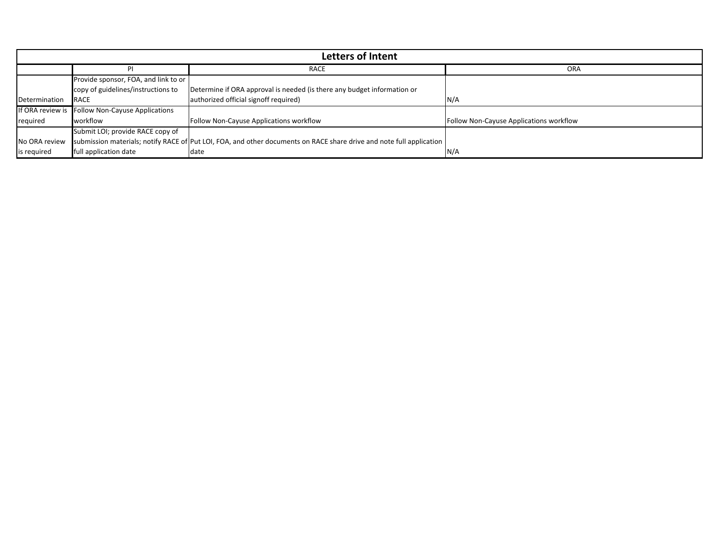|               |                                                 | <b>Letters of Intent</b>                                                                                             |                                         |
|---------------|-------------------------------------------------|----------------------------------------------------------------------------------------------------------------------|-----------------------------------------|
|               |                                                 | RACE                                                                                                                 | ORA                                     |
|               | Provide sponsor, FOA, and link to or            |                                                                                                                      |                                         |
|               | copy of guidelines/instructions to              | Determine if ORA approval is needed (is there any budget information or                                              |                                         |
| Determination | <b>IRACE</b>                                    | authorized official signoff required)                                                                                | N/A                                     |
|               | If ORA review is Follow Non-Cayuse Applications |                                                                                                                      |                                         |
| required      | workflow                                        | Follow Non-Cayuse Applications workflow                                                                              | Follow Non-Cayuse Applications workflow |
|               | Submit LOI; provide RACE copy of                |                                                                                                                      |                                         |
| No ORA review |                                                 | submission materials; notify RACE of Put LOI, FOA, and other documents on RACE share drive and note full application |                                         |
| is required   | full application date                           | date                                                                                                                 | N/A                                     |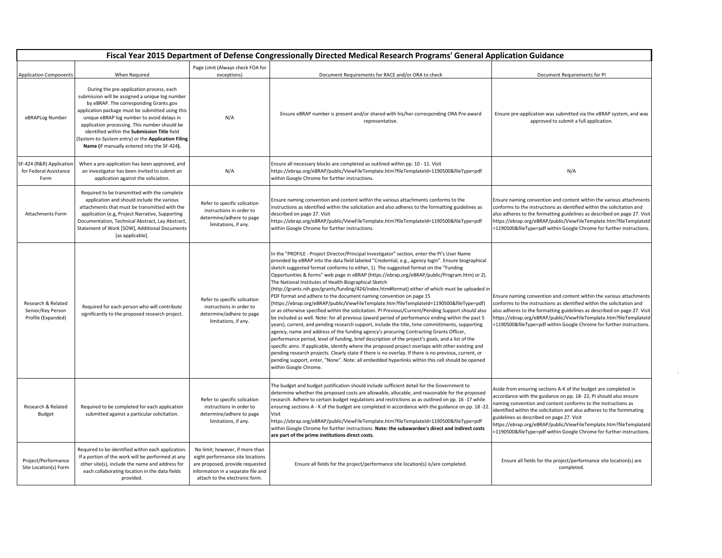| Fiscal Year 2015 Department of Defense Congressionally Directed Medical Research Programs' General Application Guidance |                                                                                                                                                                                                                                                                                                                                                                                                                                               |                                                                                                                                                                                |                                                                                                                                                                                                                                                                                                                                                                                                                                                                                                                                                                                                                                                                                                                                                                                                                                                                                                                                                                                                                                                                                                                                                                                                                                                                                                                                                                                                                                                                                                                                                                                    |                                                                                                                                                                                                                                                                                                                                                                                                                                                                          |
|-------------------------------------------------------------------------------------------------------------------------|-----------------------------------------------------------------------------------------------------------------------------------------------------------------------------------------------------------------------------------------------------------------------------------------------------------------------------------------------------------------------------------------------------------------------------------------------|--------------------------------------------------------------------------------------------------------------------------------------------------------------------------------|------------------------------------------------------------------------------------------------------------------------------------------------------------------------------------------------------------------------------------------------------------------------------------------------------------------------------------------------------------------------------------------------------------------------------------------------------------------------------------------------------------------------------------------------------------------------------------------------------------------------------------------------------------------------------------------------------------------------------------------------------------------------------------------------------------------------------------------------------------------------------------------------------------------------------------------------------------------------------------------------------------------------------------------------------------------------------------------------------------------------------------------------------------------------------------------------------------------------------------------------------------------------------------------------------------------------------------------------------------------------------------------------------------------------------------------------------------------------------------------------------------------------------------------------------------------------------------|--------------------------------------------------------------------------------------------------------------------------------------------------------------------------------------------------------------------------------------------------------------------------------------------------------------------------------------------------------------------------------------------------------------------------------------------------------------------------|
| <b>Application Components</b>                                                                                           | When Required                                                                                                                                                                                                                                                                                                                                                                                                                                 | Page Limit (Always check FOA for<br>exceptions)                                                                                                                                | Document Requirements for RACE and/or ORA to check                                                                                                                                                                                                                                                                                                                                                                                                                                                                                                                                                                                                                                                                                                                                                                                                                                                                                                                                                                                                                                                                                                                                                                                                                                                                                                                                                                                                                                                                                                                                 | Document Requirements for PI                                                                                                                                                                                                                                                                                                                                                                                                                                             |
| eBRAPLog Number                                                                                                         | During the pre-application process, each<br>submission will be assigned a unique log number<br>by eBRAP. The corresponding Grants.gov<br>application package must be submitted using this<br>unique eBRAP log number to avoid delays in<br>application processing. This number should be<br>identified within the Submission Title field<br>(System-to-System entry) or the Application Filing<br>Name (if manually entered into the SF-424). | N/A                                                                                                                                                                            | Ensure eBRAP number is present and/or shared with his/her corresponding ORA Pre-award<br>representative.                                                                                                                                                                                                                                                                                                                                                                                                                                                                                                                                                                                                                                                                                                                                                                                                                                                                                                                                                                                                                                                                                                                                                                                                                                                                                                                                                                                                                                                                           | Ensure pre-application was submitted via the eBRAP system, and was<br>approved to submit a full application.                                                                                                                                                                                                                                                                                                                                                             |
| SF-424 (R&R) Application<br>for Federal Assistance<br>Form                                                              | When a pre-application has been approved, and<br>an investigator has been invited to submit an<br>application against the soliciation.                                                                                                                                                                                                                                                                                                        | N/A                                                                                                                                                                            | Ensure all necessary blocks are completed as outlined within pp. 10 - 11. Visit<br>https://ebrap.org/eBRAP/public/ViewFileTemplate.htm?fileTemplateId=1190500&fileType=pdf<br>within Google Chrome for further instructions.                                                                                                                                                                                                                                                                                                                                                                                                                                                                                                                                                                                                                                                                                                                                                                                                                                                                                                                                                                                                                                                                                                                                                                                                                                                                                                                                                       | N/A                                                                                                                                                                                                                                                                                                                                                                                                                                                                      |
| <b>Attachments Form</b>                                                                                                 | Required to be transmitted with the complete<br>application and should include the various<br>attachments that must be transmitted with the<br>application (e.g, Project Narrative, Supporting<br>Documentation, Technical Abstract, Lay Abstract<br>Statement of Work [SOW], Additional Documents<br>[as applicable].                                                                                                                        | Refer to specific solication<br>instructions in order to<br>determine/adhere to page<br>limitations, if any.                                                                   | Ensure naming convention and content within the various attachments conforms to the<br>instructions as identified within the solicitation and also adheres to the formatting guidelines as<br>described on page 27. Visit<br>https://ebrap.org/eBRAP/public/ViewFileTemplate.htm?fileTemplateId=1190500&fileType=pdf<br>within Google Chrome for further instructions.                                                                                                                                                                                                                                                                                                                                                                                                                                                                                                                                                                                                                                                                                                                                                                                                                                                                                                                                                                                                                                                                                                                                                                                                             | Ensure naming convention and content within the various attachments<br>conforms to the instructions as identified within the solicitation and<br>also adheres to the formatting guidelines as described on page 27. Visit<br>https://ebrap.org/eBRAP/public/ViewFileTemplate.htm?fileTemplateId<br>=1190500&fileType=pdf within Google Chrome for further instructions.                                                                                                  |
| Research & Related<br>Senior/Key Person<br>Profile (Expanded)                                                           | Required for each person who will contribute<br>significantly to the proposed research project.                                                                                                                                                                                                                                                                                                                                               | Refer to specific solication<br>instructions in order to<br>determine/adhere to page<br>limitations, if any.                                                                   | In the "PROFILE - Project Director/Principal Investigator" section, enter the PI's User Name<br>provided by eBRAP into the data field labeled "Credential, e.g., agency login". Ensure biographical<br>sketch suggested format conforms to either, 1). The suggested format on the "Funding<br>Opportunities & forms" web page in eBRAP (https://ebrap.org/eBRAP/public/Program.htm) or 2).<br>The National Institutes of Health Biographical Sketch<br>(http://grants.nih.gov/grants/funding/424/index.htm#format) either of which must be uploaded ir<br>PDF format and adhere to the document naming convention on page 15<br>(https://ebrap.org/eBRAP/public/ViewFileTemplate.htm?fileTemplateId=1190500&fileType=pdf)<br>or as otherwise specified within the solicitation. PI Previous/Current/Pending Support should also<br>be included as well. Note: for all previous (award period of performance ending within the past 5<br>years), current, and pending research support, include the title, time committments, supporting<br>agency, name and address of the funding agency's procuring Contracting Grants Officer,<br>performance period, level of funding, brief description of the project's goals, and a list of the<br>specific aims. If applicable, identify where the proposed project overlaps with other existing and<br>pending research projects. Clearly state if there is no overlap. If there is no previous, current, or<br>pending support, enter, "None". Note: all embedded hyperlinks within this cell should be opened<br>within Google Chrome. | Ensure naming convention and content within the various attachments<br>conforms to the instructions as identified within the solicitation and<br>also adheres to the formatting guidelines as described on page 27. Visit<br>https://ebrap.org/eBRAP/public/ViewFileTemplate.htm?fileTemplateId<br>=1190500&fileType=pdf within Google Chrome for further instructions.                                                                                                  |
| Research & Related<br><b>Budget</b>                                                                                     | Required to be completed for each application<br>submitted against a particular solicitation.                                                                                                                                                                                                                                                                                                                                                 | Refer to specific solication<br>instructions in order to<br>determine/adhere to page<br>limitations, if any.                                                                   | The budget and budget justification should include sufficient detail for the Government to<br>determine whether the proposed costs are allowable, allocable, and reasonable for the proposed<br>research. Adhere to certain budget regulations and restrictions as as outlined on pp. 16 -17 while<br>ensuring sections A - K of the budget are completed in accordance with the guidance on pp. 18 -22<br>Visit<br>https://ebrap.org/eBRAP/public/ViewFileTemplate.htm?fileTemplateId=1190500&fileType=pdf<br>within Google Chrome for further instructions. Note: the subawardee's direct and indirect costs<br>are part of the prime institutions direct costs.                                                                                                                                                                                                                                                                                                                                                                                                                                                                                                                                                                                                                                                                                                                                                                                                                                                                                                                 | Aside from ensuring sections A-K of the budget are completed in<br>accordance with the guidance on pp. 18-22, PI should also ensure<br>naming convention and content conforms to the instructions as<br>identified within the solicitation and also adheres to the formmating<br>guidelines as described on page 27. Visit<br>https://ebrap.org/eBRAP/public/ViewFileTemplate.htm?fileTemplateIc<br>=1190500&fileType=pdf within Google Chrome for further instructions. |
| Project/Performance<br>Site Location(s) Form                                                                            | Required to be identified within each application.<br>If a portion of the work will be performed at any<br>other site(s), include the name and address for<br>each collaborating location in the data fields<br>provided.                                                                                                                                                                                                                     | No limit; however, if more than<br>eight performance site locations<br>are proposed, provide requested<br>information in a separate file and<br>attach to the electronic form. | Ensure all fields for the project/performance site location(s) is/are completed.                                                                                                                                                                                                                                                                                                                                                                                                                                                                                                                                                                                                                                                                                                                                                                                                                                                                                                                                                                                                                                                                                                                                                                                                                                                                                                                                                                                                                                                                                                   | Ensure all fields for the project/performance site location(s) are<br>completed.                                                                                                                                                                                                                                                                                                                                                                                         |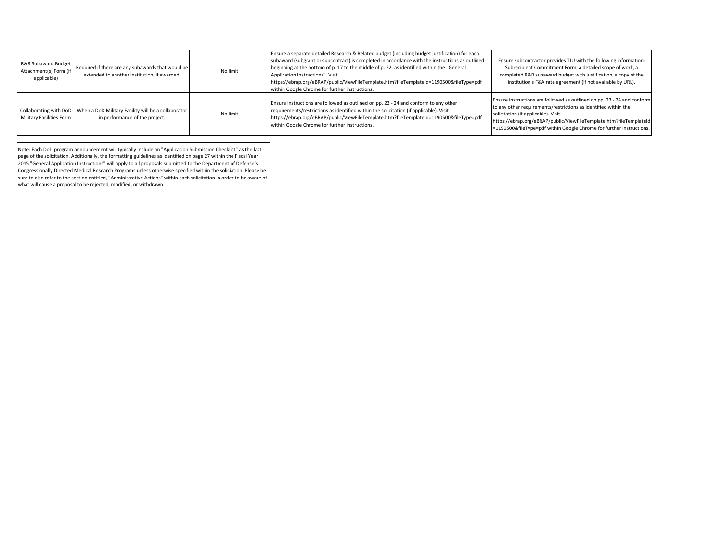| R&R Subaward Budget<br>Attachment(s) Form (if<br>applicable) | Required if there are any subawards that would be<br>extended to another institution, if awarded.              | No limit | Ensure a separate detailed Research & Related budget (including budget justification) for each<br>subaward (subgrant or subcontract) is completed in accordance with the instructions as outlined<br>beginning at the bottom of p. 17 to the middle of p. 22. as identified within the "General"<br>Application Instructions". Visit<br>https://ebrap.org/eBRAP/public/ViewFileTemplate.htm?fileTemplateId=1190500&fileType=pdf<br>within Google Chrome for further instructions. | Ensure subcontractor provides TJU with the following information:<br>Subrecipient Commitment Form, a detailed scope of work, a<br>completed R&R subaward budget with justification, a copy of the<br>institution's F&A rate agreement (if not available by URL).                                                                |
|--------------------------------------------------------------|----------------------------------------------------------------------------------------------------------------|----------|-----------------------------------------------------------------------------------------------------------------------------------------------------------------------------------------------------------------------------------------------------------------------------------------------------------------------------------------------------------------------------------------------------------------------------------------------------------------------------------|---------------------------------------------------------------------------------------------------------------------------------------------------------------------------------------------------------------------------------------------------------------------------------------------------------------------------------|
| Military Facilities Form                                     | Collaborating with DoD   When a DoD Military Facility will be a collaborator<br>in performance of the project. | No limit | Ensure instructions are followed as outlined on pp. 23 - 24 and conform to any other<br>requirements/restrictions as identified within the solicitation (if applicable). Visit<br>https://ebrap.org/eBRAP/public/ViewFileTemplate.htm?fileTemplateId=1190500&fileType=pdf<br>within Google Chrome for further instructions.                                                                                                                                                       | Ensure instructions are followed as outlined on pp. 23 - 24 and conform<br>to any other requirements/restrictions as identified within the<br>solicitation (if applicable). Visit<br>https://ebrap.org/eBRAP/public/ViewFileTemplate.htm?fileTemplateId<br>=1190500&fileType=pdf within Google Chrome for further instructions. |

Note: Each DoD program announcement will typically include an "Application Submission Checklist" as the last page of the solicitation. Additionally, the formatting guidelines as identified on page 27 within the Fiscal Year 2015 "General Application Instructions" will apply to all proposals submitted to the Department of Defense's Congressionally Directed Medical Research Programs unless otherwise specified within the soliciation. Please be sure to also refer to the section entitled, "Administrative Actions" within each solicitation in order to be aware of what will cause a proposal to be rejected, modified, or withdrawn.